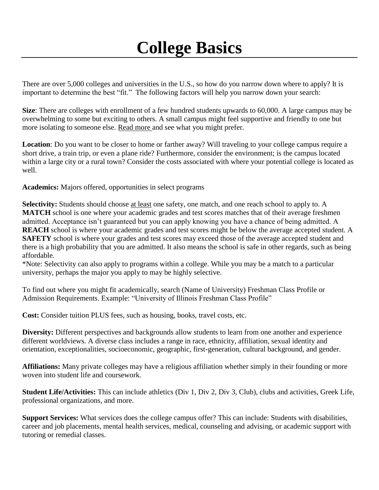## **College Basics**

There are over 5,000 colleges and universities in the U.S., so how do you narrow down where to apply? It is important to determine the best "fit." The following factors will help you narrow down your search:

**Size**: There are colleges with enrollment of a few hundred students upwards to 60,000. A large campus may be overwhelming to some but exciting to others. A small campus might feel supportive and friendly to one but more isolating to someone else. [Read more a](https://www.collegedata.com/en/explore-colleges/the-facts-on-fit/features-that-set-colleges-apart/college-size-small-medium-or-large/)nd see what you might prefer.

**Location**: Do you want to be closer to home or farther away? Will traveling to your college campus require a short drive, a train trip, or even a plane ride? Furthermore, consider the environment; is the campus located within a large city or a rural town? Consider the costs associated with where your potential college is located as well.

**Academics:** Majors offered, opportunities in select programs

**Selectivity:** Students should choose at least one safety, one match, and one reach school to apply to. A **MATCH** school is one where your academic grades and test scores matches that of their average freshmen admitted. Acceptance isn't guaranteed but you can apply knowing you have a chance of being admitted. A **REACH** school is where your academic grades and test scores might be below the average accepted student. A **SAFETY** school is where your grades and test scores may exceed those of the average accepted student and there is a high probability that you are admitted. It also means the school is safe in other regards, such as being affordable.

\*Note: Selectivity can also apply to programs within a college. While you may be a match to a particular university, perhaps the major you apply to may be highly selective.

To find out where you might fit academically, search (Name of University) Freshman Class Profile or Admission Requirements. Example: "University of Illinois Freshman Class Profile"

**Cost:** Consider tuition PLUS fees, such as housing, books, travel costs, etc.

**Diversity:** Different perspectives and backgrounds allow students to learn from one another and experience different worldviews. A diverse class includes a range in race, ethnicity, affiliation, sexual identity and orientation, exceptionalities, socioeconomic, geographic, first-generation, cultural background, and gender.

**Affiliations:** Many private colleges may have a religious affiliation whether simply in their founding or more woven into student life and coursework.

**Student Life/Activities:** This can include athletics (Div 1, Div 2, Div 3, Club), clubs and activities, Greek Life, professional organizations, and more.

**Support Services:** What services does the college campus offer? This can include: Students with disabilities, career and job placements, mental health services, medical, counseling and advising, or academic support with tutoring or remedial classes.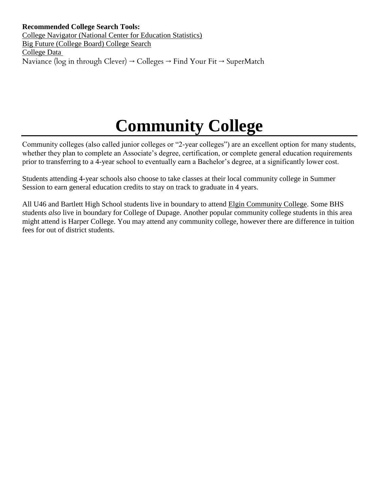# **Community College**

Community colleges (also called junior colleges or "2-year colleges") are an excellent option for many students, whether they plan to complete an Associate's degree, certification, or complete general education requirements prior to transferring to a 4-year school to eventually earn a Bachelor's degree, at a significantly lower cost.

Students attending 4-year schools also choose to take classes at their local community college in Summer Session to earn general education credits to stay on track to graduate in 4 years.

All U46 and Bartlett High School students live in boundary to attend [Elgin Community College.](http://www.elgin.edu/) Some BHS students *also* live in boundary for College of Dupage. Another popular community college students in this area might attend is Harper College. You may attend any community college, however there are difference in tuition fees for out of district students.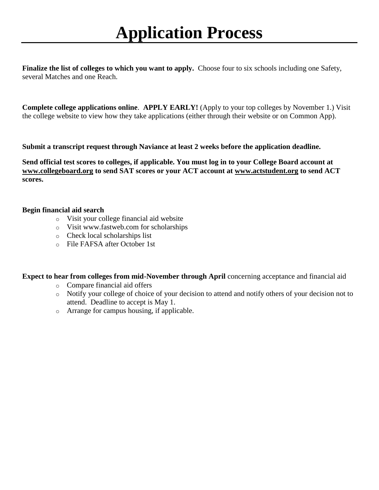**Finalize the list of colleges to which you want to apply.** Choose four to six schools including one Safety, several Matches and one Reach.

**Complete college applications online**. **APPLY EARLY!** (Apply to your top colleges by November 1.) Visit the college website to view how they take applications (either through their website or on Common App).

**Submit a transcript request through Naviance at least 2 weeks before the application deadline.**

**Send official test scores to colleges, if applicable. You must log in to your College Board account at [www.collegeboard.org](http://www.collegeboard.org/) to send SAT scores or your ACT account at [www.actstudent.org](http://www.actstudent.org/) to send ACT scores.**

#### **Begin financial aid search**

- o Visit your college financial aid website
- o Visit [www.fastweb.com](http://www.fastweb.com/) for scholarships
- o Check local scholarships list
- o File FAFSA after October 1st

**Expect to hear from colleges from mid-November through April** concerning acceptance and financial aid

- o Compare financial aid offers
- o Notify your college of choice of your decision to attend and notify others of your decision not to attend. Deadline to accept is May 1.
- o Arrange for campus housing, if applicable.